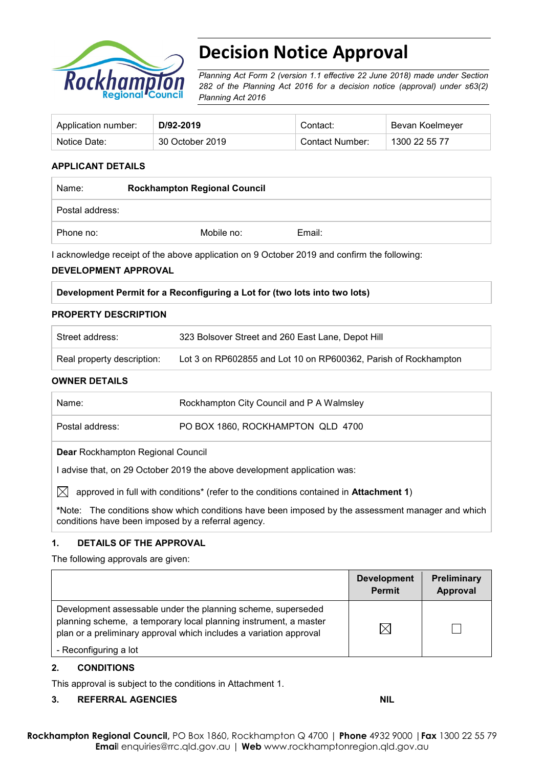

# **Decision Notice Approval**

*Planning Act Form 2 (version 1.1 effective 22 June 2018) made under Section 282 of the Planning Act 2016 for a decision notice (approval) under s63(2) Planning Act 2016*

| Application number: | D/92-2019       | Contact:        | Bevan Koelmeyer |
|---------------------|-----------------|-----------------|-----------------|
| Notice Date:        | 30 October 2019 | Contact Number: | 1300 22 55 77   |

## **APPLICANT DETAILS**

| Name:           | <b>Rockhampton Regional Council</b> |        |  |
|-----------------|-------------------------------------|--------|--|
| Postal address: |                                     |        |  |
| Phone no:       | Mobile no:                          | Email: |  |

I acknowledge receipt of the above application on 9 October 2019 and confirm the following:

#### **DEVELOPMENT APPROVAL**

#### **PROPERTY DESCRIPTION**

| Street address:            | 323 Bolsover Street and 260 East Lane, Depot Hill               |
|----------------------------|-----------------------------------------------------------------|
| Real property description: | Lot 3 on RP602855 and Lot 10 on RP600362, Parish of Rockhampton |

#### **OWNER DETAILS**

| Name:                                                                                                                                                   | Rockhampton City Council and P A Walmsley |  |  |  |
|---------------------------------------------------------------------------------------------------------------------------------------------------------|-------------------------------------------|--|--|--|
|                                                                                                                                                         |                                           |  |  |  |
| Postal address:                                                                                                                                         | PO BOX 1860, ROCKHAMPTON QLD 4700         |  |  |  |
| <b>Dear Rockhampton Regional Council</b>                                                                                                                |                                           |  |  |  |
| advise that, on 29 October 2019 the above development application was:                                                                                  |                                           |  |  |  |
| IXI<br>approved in full with conditions <sup>*</sup> (refer to the conditions contained in <b>Attachment 1)</b>                                         |                                           |  |  |  |
| *Note: The conditions show which conditions have been imposed by the assessment manager and which<br>conditions have been imposed by a referral agency. |                                           |  |  |  |

#### **1. DETAILS OF THE APPROVAL**

The following approvals are given:

|                                                                                                                                                                                                        | <b>Development</b><br>Permit | Preliminary<br>Approval |
|--------------------------------------------------------------------------------------------------------------------------------------------------------------------------------------------------------|------------------------------|-------------------------|
| Development assessable under the planning scheme, superseded<br>planning scheme, a temporary local planning instrument, a master<br>plan or a preliminary approval which includes a variation approval |                              |                         |
| - Reconfiguring a lot                                                                                                                                                                                  |                              |                         |

#### **2. CONDITIONS**

This approval is subject to the conditions in Attachment 1.

## **3. REFERRAL AGENCIES NIL**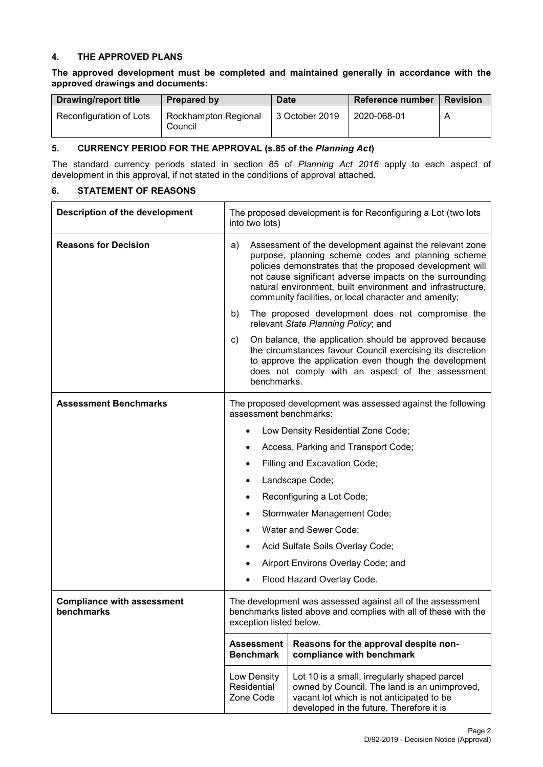#### **4. THE APPROVED PLANS**

## **The approved development must be completed and maintained generally in accordance with the approved drawings and documents:**

| <b>Drawing/report title</b> | Prepared by                            | <b>Date</b>    | Reference number | <b>Revision</b> |
|-----------------------------|----------------------------------------|----------------|------------------|-----------------|
| Reconfiguration of Lots     | <b>Rockhampton Regional</b><br>Council | 3 October 2019 | 2020-068-01      |                 |

### **5. CURRENCY PERIOD FOR THE APPROVAL (s.85 of the** *Planning Act***)**

The standard currency periods stated in section 85 of *Planning Act 2016* apply to each aspect of development in this approval, if not stated in the conditions of approval attached.

## **6. STATEMENT OF REASONS**

| <b>Description of the development</b>           | The proposed development is for Reconfiguring a Lot (two lots<br>into two lots)                                                                                                                                                                                                                                                                                    |                                                                                                                                                                                       |  |
|-------------------------------------------------|--------------------------------------------------------------------------------------------------------------------------------------------------------------------------------------------------------------------------------------------------------------------------------------------------------------------------------------------------------------------|---------------------------------------------------------------------------------------------------------------------------------------------------------------------------------------|--|
| <b>Reasons for Decision</b>                     | Assessment of the development against the relevant zone<br>a)<br>purpose, planning scheme codes and planning scheme<br>policies demonstrates that the proposed development will<br>not cause significant adverse impacts on the surrounding<br>natural environment, built environment and infrastructure,<br>community facilities, or local character and amenity; |                                                                                                                                                                                       |  |
|                                                 | b)                                                                                                                                                                                                                                                                                                                                                                 | The proposed development does not compromise the<br>relevant State Planning Policy; and                                                                                               |  |
|                                                 | On balance, the application should be approved because<br>C)<br>the circumstances favour Council exercising its discretion<br>to approve the application even though the development<br>does not comply with an aspect of the assessment<br>benchmarks.                                                                                                            |                                                                                                                                                                                       |  |
| <b>Assessment Benchmarks</b>                    | The proposed development was assessed against the following<br>assessment benchmarks:                                                                                                                                                                                                                                                                              |                                                                                                                                                                                       |  |
|                                                 |                                                                                                                                                                                                                                                                                                                                                                    | Low Density Residential Zone Code;                                                                                                                                                    |  |
|                                                 | $\bullet$                                                                                                                                                                                                                                                                                                                                                          | Access, Parking and Transport Code;                                                                                                                                                   |  |
|                                                 | Filling and Excavation Code;<br>٠                                                                                                                                                                                                                                                                                                                                  |                                                                                                                                                                                       |  |
|                                                 | $\bullet$                                                                                                                                                                                                                                                                                                                                                          | Landscape Code;                                                                                                                                                                       |  |
|                                                 |                                                                                                                                                                                                                                                                                                                                                                    | Reconfiguring a Lot Code;                                                                                                                                                             |  |
|                                                 |                                                                                                                                                                                                                                                                                                                                                                    | Stormwater Management Code;                                                                                                                                                           |  |
|                                                 | Water and Sewer Code;                                                                                                                                                                                                                                                                                                                                              |                                                                                                                                                                                       |  |
|                                                 |                                                                                                                                                                                                                                                                                                                                                                    | Acid Sulfate Soils Overlay Code;                                                                                                                                                      |  |
|                                                 |                                                                                                                                                                                                                                                                                                                                                                    | Airport Environs Overlay Code; and                                                                                                                                                    |  |
|                                                 | Flood Hazard Overlay Code.                                                                                                                                                                                                                                                                                                                                         |                                                                                                                                                                                       |  |
| <b>Compliance with assessment</b><br>benchmarks | The development was assessed against all of the assessment<br>benchmarks listed above and complies with all of these with the<br>exception listed below.                                                                                                                                                                                                           |                                                                                                                                                                                       |  |
|                                                 | <b>Assessment</b><br><b>Benchmark</b>                                                                                                                                                                                                                                                                                                                              | Reasons for the approval despite non-<br>compliance with benchmark                                                                                                                    |  |
|                                                 | Low Density<br>Residential<br>Zone Code                                                                                                                                                                                                                                                                                                                            | Lot 10 is a small, irregularly shaped parcel<br>owned by Council. The land is an unimproved,<br>vacant lot which is not anticipated to be<br>developed in the future. Therefore it is |  |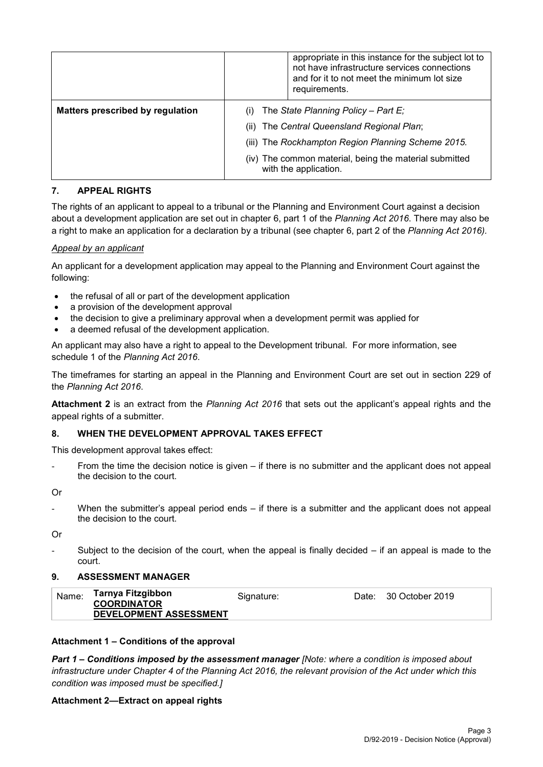|                                         |                                                    | appropriate in this instance for the subject lot to<br>not have infrastructure services connections<br>and for it to not meet the minimum lot size<br>requirements. |
|-----------------------------------------|----------------------------------------------------|---------------------------------------------------------------------------------------------------------------------------------------------------------------------|
| <b>Matters prescribed by regulation</b> | The State Planning Policy – Part E;                |                                                                                                                                                                     |
|                                         | (ii) The Central Queensland Regional Plan;         |                                                                                                                                                                     |
|                                         | (iii) The Rockhampton Region Planning Scheme 2015. |                                                                                                                                                                     |
|                                         |                                                    | (iv) The common material, being the material submitted<br>with the application.                                                                                     |

### **7. APPEAL RIGHTS**

The rights of an applicant to appeal to a tribunal or the Planning and Environment Court against a decision about a development application are set out in chapter 6, part 1 of the *Planning Act 2016*. There may also be a right to make an application for a declaration by a tribunal (see chapter 6, part 2 of the *Planning Act 2016).*

#### *Appeal by an applicant*

An applicant for a development application may appeal to the Planning and Environment Court against the following:

- the refusal of all or part of the development application
- a provision of the development approval
- the decision to give a preliminary approval when a development permit was applied for
- a deemed refusal of the development application.

An applicant may also have a right to appeal to the Development tribunal. For more information, see schedule 1 of the *Planning Act 2016*.

The timeframes for starting an appeal in the Planning and Environment Court are set out in section 229 of the *Planning Act 2016*.

**Attachment 2** is an extract from the *Planning Act 2016* that sets out the applicant's appeal rights and the appeal rights of a submitter.

#### **8. WHEN THE DEVELOPMENT APPROVAL TAKES EFFECT**

This development approval takes effect:

From the time the decision notice is given  $-$  if there is no submitter and the applicant does not appeal the decision to the court.

Or

When the submitter's appeal period ends  $-$  if there is a submitter and the applicant does not appeal the decision to the court.

Or

Subject to the decision of the court, when the appeal is finally decided  $-$  if an appeal is made to the court.

#### **9. ASSESSMENT MANAGER**

| Tarnya Fitzgibbon<br>Name:<br>Signature:<br><b>COORDINATOR</b><br>DEVELOPMENT ASSESSMENT | Date: 30 October 2019 |
|------------------------------------------------------------------------------------------|-----------------------|
|------------------------------------------------------------------------------------------|-----------------------|

#### **Attachment 1 – Conditions of the approval**

*Part 1* **–** *Conditions imposed by the assessment manager [Note: where a condition is imposed about infrastructure under Chapter 4 of the Planning Act 2016, the relevant provision of the Act under which this condition was imposed must be specified.]*

#### **Attachment 2—Extract on appeal rights**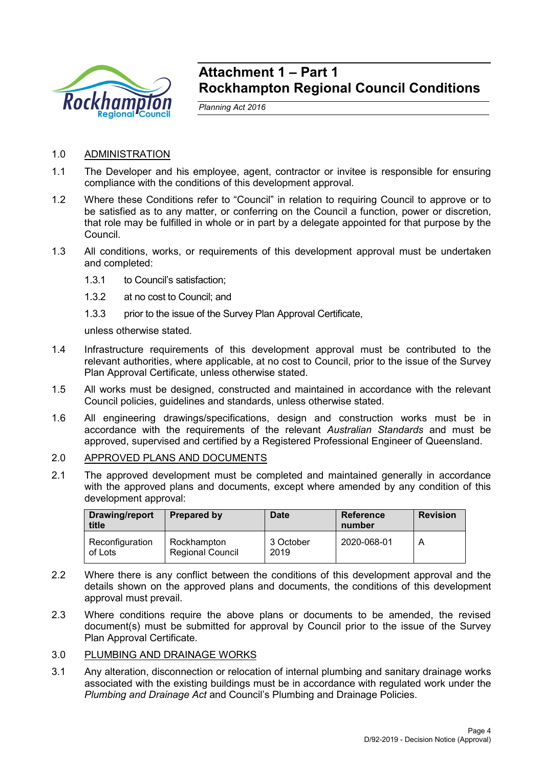

## **Attachment 1 – Part 1 Rockhampton Regional Council Conditions**

*Planning Act 2016*

- 1.0 ADMINISTRATION
- 1.1 The Developer and his employee, agent, contractor or invitee is responsible for ensuring compliance with the conditions of this development approval.
- 1.2 Where these Conditions refer to "Council" in relation to requiring Council to approve or to be satisfied as to any matter, or conferring on the Council a function, power or discretion, that role may be fulfilled in whole or in part by a delegate appointed for that purpose by the Council.
- 1.3 All conditions, works, or requirements of this development approval must be undertaken and completed:
	- 1.3.1 to Council's satisfaction;
	- 1.3.2 at no cost to Council; and
	- 1.3.3 prior to the issue of the Survey Plan Approval Certificate,

unless otherwise stated.

- 1.4 Infrastructure requirements of this development approval must be contributed to the relevant authorities, where applicable, at no cost to Council, prior to the issue of the Survey Plan Approval Certificate, unless otherwise stated.
- 1.5 All works must be designed, constructed and maintained in accordance with the relevant Council policies, guidelines and standards, unless otherwise stated.
- 1.6 All engineering drawings/specifications, design and construction works must be in accordance with the requirements of the relevant *Australian Standards* and must be approved, supervised and certified by a Registered Professional Engineer of Queensland.
- 2.0 APPROVED PLANS AND DOCUMENTS
- 2.1 The approved development must be completed and maintained generally in accordance with the approved plans and documents, except where amended by any condition of this development approval:

| <b>Drawing/report</b><br>title | Prepared by                            | <b>Date</b>       | <b>Reference</b><br>number | <b>Revision</b> |
|--------------------------------|----------------------------------------|-------------------|----------------------------|-----------------|
| Reconfiguration<br>of Lots     | Rockhampton<br><b>Regional Council</b> | 3 October<br>2019 | 2020-068-01                | A               |

- 2.2 Where there is any conflict between the conditions of this development approval and the details shown on the approved plans and documents, the conditions of this development approval must prevail.
- 2.3 Where conditions require the above plans or documents to be amended, the revised document(s) must be submitted for approval by Council prior to the issue of the Survey Plan Approval Certificate.
- 3.0 PLUMBING AND DRAINAGE WORKS
- 3.1 Any alteration, disconnection or relocation of internal plumbing and sanitary drainage works associated with the existing buildings must be in accordance with regulated work under the *Plumbing and Drainage Act* and Council's Plumbing and Drainage Policies.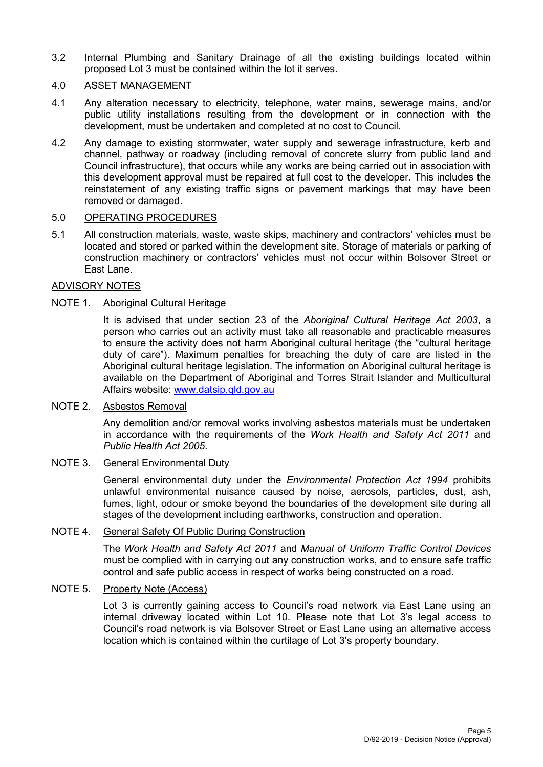3.2 Internal Plumbing and Sanitary Drainage of all the existing buildings located within proposed Lot 3 must be contained within the lot it serves.

## 4.0 ASSET MANAGEMENT

- 4.1 Any alteration necessary to electricity, telephone, water mains, sewerage mains, and/or public utility installations resulting from the development or in connection with the development, must be undertaken and completed at no cost to Council.
- 4.2 Any damage to existing stormwater, water supply and sewerage infrastructure, kerb and channel, pathway or roadway (including removal of concrete slurry from public land and Council infrastructure), that occurs while any works are being carried out in association with this development approval must be repaired at full cost to the developer. This includes the reinstatement of any existing traffic signs or pavement markings that may have been removed or damaged.

### 5.0 OPERATING PROCEDURES

5.1 All construction materials, waste, waste skips, machinery and contractors' vehicles must be located and stored or parked within the development site. Storage of materials or parking of construction machinery or contractors' vehicles must not occur within Bolsover Street or East Lane.

### ADVISORY NOTES

## NOTE 1. Aboriginal Cultural Heritage

It is advised that under section 23 of the *Aboriginal Cultural Heritage Act 2003*, a person who carries out an activity must take all reasonable and practicable measures to ensure the activity does not harm Aboriginal cultural heritage (the "cultural heritage duty of care"). Maximum penalties for breaching the duty of care are listed in the Aboriginal cultural heritage legislation. The information on Aboriginal cultural heritage is available on the Department of Aboriginal and Torres Strait Islander and Multicultural Affairs website: [www.datsip.qld.gov.au](http://www.datsip.qld.gov.au/)

#### NOTE 2. Asbestos Removal

Any demolition and/or removal works involving asbestos materials must be undertaken in accordance with the requirements of the *Work Health and Safety Act 2011* and *Public Health Act 2005*.

## NOTE 3. General Environmental Duty

General environmental duty under the *Environmental Protection Act 1994* prohibits unlawful environmental nuisance caused by noise, aerosols, particles, dust, ash, fumes, light, odour or smoke beyond the boundaries of the development site during all stages of the development including earthworks, construction and operation.

#### NOTE 4. General Safety Of Public During Construction

The *Work Health and Safety Act 2011* and *Manual of Uniform Traffic Control Devices* must be complied with in carrying out any construction works, and to ensure safe traffic control and safe public access in respect of works being constructed on a road.

#### NOTE 5. Property Note (Access)

Lot 3 is currently gaining access to Council's road network via East Lane using an internal driveway located within Lot 10. Please note that Lot 3's legal access to Council's road network is via Bolsover Street or East Lane using an alternative access location which is contained within the curtilage of Lot 3's property boundary.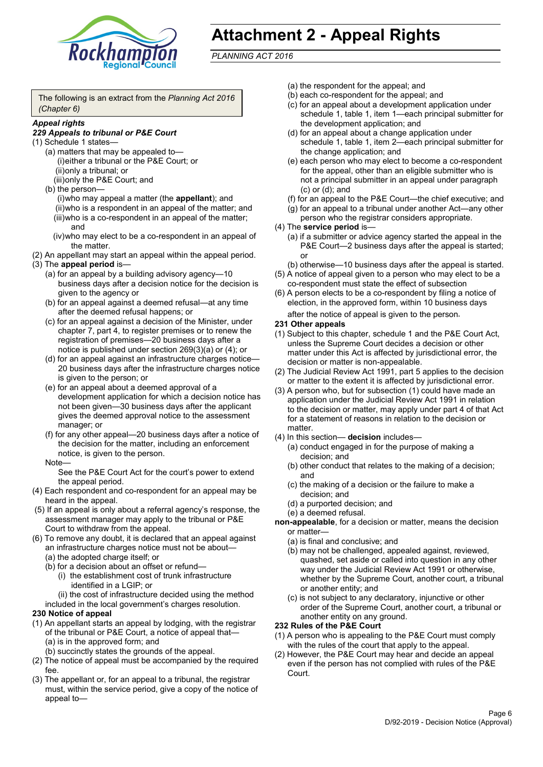

# **Attachment 2 - Appeal Rights**

*PLANNING ACT 2016*

The following is an extract from the *Planning Act 2016 (Chapter 6)*

#### *Appeal rights*

#### *229 Appeals to tribunal or P&E Court*

- (1) Schedule 1 states—
	- (a) matters that may be appealed to— (i)either a tribunal or the P&E Court; or (ii)only a tribunal; or (iii)only the P&E Court; and
	- (b) the person—

(i)who may appeal a matter (the **appellant**); and (ii)who is a respondent in an appeal of the matter; and (iii)who is a co-respondent in an appeal of the matter; and

- (iv)who may elect to be a co-respondent in an appeal of the matter.
- (2) An appellant may start an appeal within the appeal period.
- (3) The **appeal period** is—
	- (a) for an appeal by a building advisory agency—10 business days after a decision notice for the decision is given to the agency or
	- (b) for an appeal against a deemed refusal—at any time after the deemed refusal happens; or
	- (c) for an appeal against a decision of the Minister, under chapter 7, part 4, to register premises or to renew the registration of premises—20 business days after a notice is published under section 269(3)(a) or (4); or
	- (d) for an appeal against an infrastructure charges notice— 20 business days after the infrastructure charges notice is given to the person; or
	- (e) for an appeal about a deemed approval of a development application for which a decision notice has not been given—30 business days after the applicant gives the deemed approval notice to the assessment manager; or
	- (f) for any other appeal—20 business days after a notice of the decision for the matter, including an enforcement notice, is given to the person.

#### Note—

See the P&E Court Act for the court's power to extend the appeal period.

- (4) Each respondent and co-respondent for an appeal may be heard in the appeal.
- (5) If an appeal is only about a referral agency's response, the assessment manager may apply to the tribunal or P&E Court to withdraw from the appeal.
- (6) To remove any doubt, it is declared that an appeal against an infrastructure charges notice must not be about—
	- (a) the adopted charge itself; or
	- (b) for a decision about an offset or refund—
		- (i) the establishment cost of trunk infrastructure identified in a LGIP; or

(ii) the cost of infrastructure decided using the method

included in the local government's charges resolution.

#### **230 Notice of appeal**

- (1) An appellant starts an appeal by lodging, with the registrar of the tribunal or P&E Court, a notice of appeal that—
	- (a) is in the approved form; and
	- (b) succinctly states the grounds of the appeal.
- (2) The notice of appeal must be accompanied by the required fee.
- (3) The appellant or, for an appeal to a tribunal, the registrar must, within the service period, give a copy of the notice of appeal to—
- (a) the respondent for the appeal; and
- (b) each co-respondent for the appeal; and
- (c) for an appeal about a development application under schedule 1, table 1, item 1—each principal submitter for the development application; and
- (d) for an appeal about a change application under schedule 1, table 1, item 2—each principal submitter for the change application; and
- (e) each person who may elect to become a co-respondent for the appeal, other than an eligible submitter who is not a principal submitter in an appeal under paragraph (c) or (d); and
- (f) for an appeal to the P&E Court—the chief executive; and
- (g) for an appeal to a tribunal under another Act—any other person who the registrar considers appropriate.
- (4) The **service period** is—
	- (a) if a submitter or advice agency started the appeal in the P&E Court—2 business days after the appeal is started; or
	- (b) otherwise—10 business days after the appeal is started.
- (5) A notice of appeal given to a person who may elect to be a co-respondent must state the effect of subsection
- (6) A person elects to be a co-respondent by filing a notice of election, in the approved form, within 10 business days after the notice of appeal is given to the person*.*
- **231 Other appeals**
- (1) Subject to this chapter, schedule 1 and the P&E Court Act, unless the Supreme Court decides a decision or other matter under this Act is affected by jurisdictional error, the decision or matter is non-appealable.
- (2) The Judicial Review Act 1991, part 5 applies to the decision or matter to the extent it is affected by jurisdictional error.
- (3) A person who, but for subsection (1) could have made an application under the Judicial Review Act 1991 in relation to the decision or matter, may apply under part 4 of that Act for a statement of reasons in relation to the decision or matter.
- (4) In this section— **decision** includes—
	- (a) conduct engaged in for the purpose of making a decision; and
	- (b) other conduct that relates to the making of a decision; and
	- (c) the making of a decision or the failure to make a decision; and
	- (d) a purported decision; and
	- (e) a deemed refusal.

**non-appealable**, for a decision or matter, means the decision or matter—

- (a) is final and conclusive; and
- (b) may not be challenged, appealed against, reviewed, quashed, set aside or called into question in any other way under the Judicial Review Act 1991 or otherwise, whether by the Supreme Court, another court, a tribunal or another entity; and
- (c) is not subject to any declaratory, injunctive or other order of the Supreme Court, another court, a tribunal or another entity on any ground.

#### **232 Rules of the P&E Court**

- (1) A person who is appealing to the P&E Court must comply with the rules of the court that apply to the appeal.
- (2) However, the P&E Court may hear and decide an appeal even if the person has not complied with rules of the P&E Court.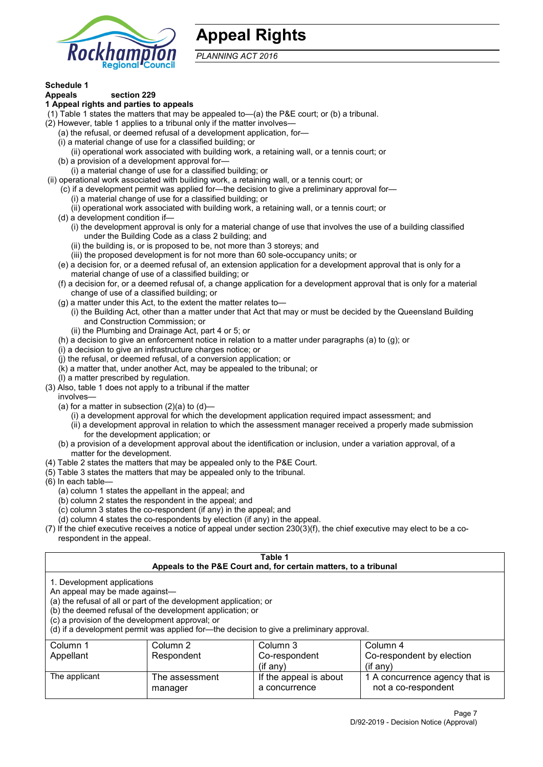

## **Appeal Rights**

*PLANNING ACT 2016*

# **Schedule 1**

#### **Appeals section 229 1 Appeal rights and parties to appeals**

- (1) Table 1 states the matters that may be appealed to—(a) the P&E court; or (b) a tribunal.
- (2) However, table 1 applies to a tribunal only if the matter involves—
	- (a) the refusal, or deemed refusal of a development application, for—
	- (i) a material change of use for a classified building; or
	- (ii) operational work associated with building work, a retaining wall, or a tennis court; or
	- (b) a provision of a development approval for—
	- (i) a material change of use for a classified building; or
- (ii) operational work associated with building work, a retaining wall, or a tennis court; or
	- (c) if a development permit was applied for—the decision to give a preliminary approval for—
		- (i) a material change of use for a classified building; or
		- (ii) operational work associated with building work, a retaining wall, or a tennis court; or
	- (d) a development condition if—
		- (i) the development approval is only for a material change of use that involves the use of a building classified under the Building Code as a class 2 building; and
		- (ii) the building is, or is proposed to be, not more than 3 storeys; and
		- (iii) the proposed development is for not more than 60 sole-occupancy units; or
	- (e) a decision for, or a deemed refusal of, an extension application for a development approval that is only for a material change of use of a classified building; or
	- (f) a decision for, or a deemed refusal of, a change application for a development approval that is only for a material change of use of a classified building; or
	- (g) a matter under this Act, to the extent the matter relates to—
		- (i) the Building Act, other than a matter under that Act that may or must be decided by the Queensland Building and Construction Commission; or
		- (ii) the Plumbing and Drainage Act, part 4 or 5; or
	- (h) a decision to give an enforcement notice in relation to a matter under paragraphs (a) to (g); or
	- (i) a decision to give an infrastructure charges notice; or
	- (j) the refusal, or deemed refusal, of a conversion application; or
	- (k) a matter that, under another Act, may be appealed to the tribunal; or
	- (l) a matter prescribed by regulation.
- (3) Also, table 1 does not apply to a tribunal if the matter

involves—

- (a) for a matter in subsection  $(2)(a)$  to  $(d)$ 
	- (i) a development approval for which the development application required impact assessment; and
	- (ii) a development approval in relation to which the assessment manager received a properly made submission for the development application; or
- (b) a provision of a development approval about the identification or inclusion, under a variation approval, of a matter for the development.
- (4) Table 2 states the matters that may be appealed only to the P&E Court.
- (5) Table 3 states the matters that may be appealed only to the tribunal.
- (6) In each table—
	- (a) column 1 states the appellant in the appeal; and
	- (b) column 2 states the respondent in the appeal; and
	- (c) column 3 states the co-respondent (if any) in the appeal; and
	- (d) column 4 states the co-respondents by election (if any) in the appeal.
- (7) If the chief executive receives a notice of appeal under section 230(3)(f), the chief executive may elect to be a corespondent in the appeal.

| Table 1<br>Appeals to the P&E Court and, for certain matters, to a tribunal                                                                                                                                                                                                                                                                    |                           |                                             |                                                         |  |
|------------------------------------------------------------------------------------------------------------------------------------------------------------------------------------------------------------------------------------------------------------------------------------------------------------------------------------------------|---------------------------|---------------------------------------------|---------------------------------------------------------|--|
| 1. Development applications<br>An appeal may be made against-<br>(a) the refusal of all or part of the development application; or<br>(b) the deemed refusal of the development application; or<br>(c) a provision of the development approval; or<br>(d) if a development permit was applied for—the decision to give a preliminary approval. |                           |                                             |                                                         |  |
| Column 1<br>Appellant                                                                                                                                                                                                                                                                                                                          | Column 2<br>Respondent    | Column 3<br>Co-respondent<br>$($ if any $)$ | Column 4<br>Co-respondent by election<br>$(i$ f anv $)$ |  |
| The applicant                                                                                                                                                                                                                                                                                                                                  | The assessment<br>manager | If the appeal is about<br>a concurrence     | 1 A concurrence agency that is<br>not a co-respondent   |  |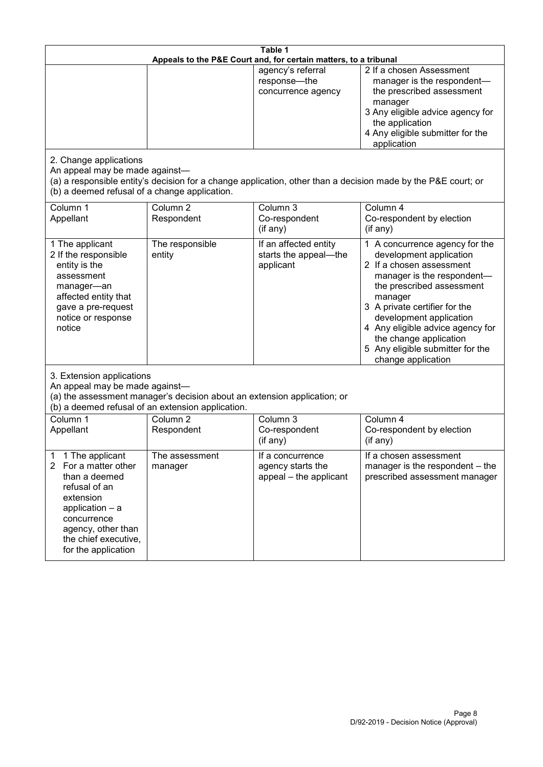| Table 1<br>Appeals to the P&E Court and, for certain matters, to a tribunal                                                                                                                           |                                   |                                                                 |                                                                                                                                                                                                                                                                                                                                                 |  |
|-------------------------------------------------------------------------------------------------------------------------------------------------------------------------------------------------------|-----------------------------------|-----------------------------------------------------------------|-------------------------------------------------------------------------------------------------------------------------------------------------------------------------------------------------------------------------------------------------------------------------------------------------------------------------------------------------|--|
|                                                                                                                                                                                                       |                                   | agency's referral<br>response-the<br>concurrence agency         | 2 If a chosen Assessment<br>manager is the respondent-<br>the prescribed assessment<br>manager<br>3 Any eligible advice agency for<br>the application<br>4 Any eligible submitter for the<br>application                                                                                                                                        |  |
| 2. Change applications<br>An appeal may be made against-<br>(b) a deemed refusal of a change application.                                                                                             |                                   |                                                                 | (a) a responsible entity's decision for a change application, other than a decision made by the P&E court; or                                                                                                                                                                                                                                   |  |
| Column 1<br>Appellant                                                                                                                                                                                 | Column <sub>2</sub><br>Respondent | Column 3<br>Co-respondent<br>(if any)                           | Column 4<br>Co-respondent by election<br>(if any)                                                                                                                                                                                                                                                                                               |  |
| 1 The applicant<br>2 If the responsible<br>entity is the<br>assessment<br>manager-an<br>affected entity that<br>gave a pre-request<br>notice or response<br>notice                                    | The responsible<br>entity         | If an affected entity<br>starts the appeal-the<br>applicant     | 1 A concurrence agency for the<br>development application<br>2 If a chosen assessment<br>manager is the respondent-<br>the prescribed assessment<br>manager<br>3 A private certifier for the<br>development application<br>4 Any eligible advice agency for<br>the change application<br>5 Any eligible submitter for the<br>change application |  |
| 3. Extension applications<br>An appeal may be made against-<br>(a) the assessment manager's decision about an extension application; or<br>(b) a deemed refusal of an extension application.          |                                   |                                                                 |                                                                                                                                                                                                                                                                                                                                                 |  |
| Column 1<br>Appellant                                                                                                                                                                                 | Column <sub>2</sub><br>Respondent | Column 3<br>Co-respondent<br>(if any)                           | Column 4<br>Co-respondent by election<br>(if any)                                                                                                                                                                                                                                                                                               |  |
| 1 The applicant<br>1<br>2<br>For a matter other<br>than a deemed<br>refusal of an<br>extension<br>application - a<br>concurrence<br>agency, other than<br>the chief executive,<br>for the application | The assessment<br>manager         | If a concurrence<br>agency starts the<br>appeal - the applicant | If a chosen assessment<br>manager is the respondent - the<br>prescribed assessment manager                                                                                                                                                                                                                                                      |  |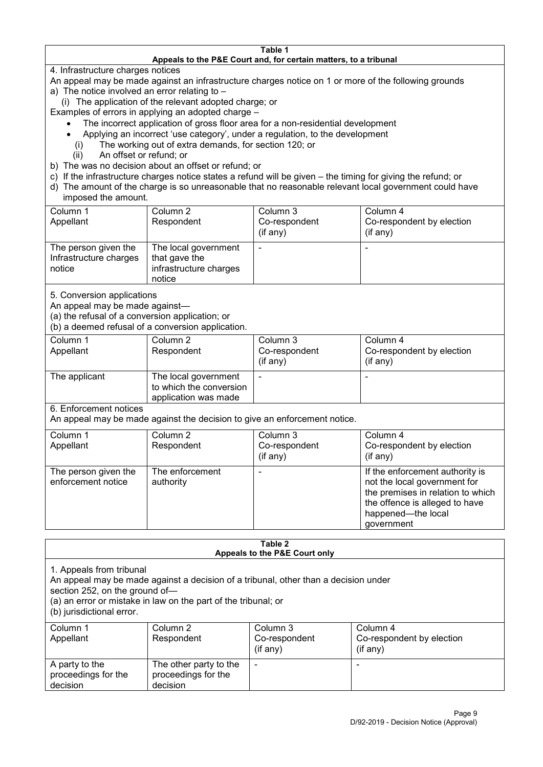#### **Table 1 Appeals to the P&E Court and, for certain matters, to a tribunal**

4. Infrastructure charges notices

- An appeal may be made against an infrastructure charges notice on 1 or more of the following grounds
- a) The notice involved an error relating to
	- (i) The application of the relevant adopted charge; or
- Examples of errors in applying an adopted charge
	- The incorrect application of gross floor area for a non-residential development
	- Applying an incorrect 'use category', under a regulation, to the development
	- (i) The working out of extra demands, for section 120; or
	- (ii) An offset or refund; or
- b) The was no decision about an offset or refund; or
- c) If the infrastructure charges notice states a refund will be given the timing for giving the refund; or
- d) The amount of the charge is so unreasonable that no reasonable relevant local government could have

## imposed the amount.

| Column 1<br>Appellant                                    | Column 2<br>Respondent                                                    | Column 3<br>Co-respondent<br>(if any) | Column 4<br>Co-respondent by election<br>$($ if any $)$ |
|----------------------------------------------------------|---------------------------------------------------------------------------|---------------------------------------|---------------------------------------------------------|
| The person given the<br>Infrastructure charges<br>notice | The local government<br>that gave the<br>infrastructure charges<br>notice |                                       | -                                                       |

5. Conversion applications

An appeal may be made against—

(a) the refusal of a conversion application; or

(b) a deemed refusal of a conversion application.

| Column 1<br>Appellant | Column 2<br>Respondent                                                  | Column 3<br>Co-respondent<br>$($ if any $)$ | Column 4<br>Co-respondent by election<br>$($ if any $)$ |
|-----------------------|-------------------------------------------------------------------------|---------------------------------------------|---------------------------------------------------------|
| The applicant         | The local government<br>to which the conversion<br>application was made |                                             | $\overline{\phantom{0}}$                                |

6. Enforcement notices

An appeal may be made against the decision to give an enforcement notice.

| Column 1                                   | Column 2                     | Column 3      | Column 4                                                                                                                                                                   |
|--------------------------------------------|------------------------------|---------------|----------------------------------------------------------------------------------------------------------------------------------------------------------------------------|
| Appellant                                  | Respondent                   | Co-respondent | Co-respondent by election                                                                                                                                                  |
|                                            |                              | (if any)      | $($ if any $)$                                                                                                                                                             |
| The person given the<br>enforcement notice | The enforcement<br>authority |               | If the enforcement authority is<br>not the local government for<br>the premises in relation to which<br>the offence is alleged to have<br>happened-the local<br>government |

#### **Table 2 Appeals to the P&E Court only**

1. Appeals from tribunal

An appeal may be made against a decision of a tribunal, other than a decision under

section 252, on the ground of—

(a) an error or mistake in law on the part of the tribunal; or

(b) jurisdictional error.

| Column 1<br>Appellant                             | Column 2<br>Respondent                                    | Column 3<br>Co-respondent<br>$($ if any $)$ | Column 4<br>Co-respondent by election<br>$($ if any $)$ |
|---------------------------------------------------|-----------------------------------------------------------|---------------------------------------------|---------------------------------------------------------|
| A party to the<br>proceedings for the<br>decision | The other party to the<br>proceedings for the<br>decision | ٠                                           |                                                         |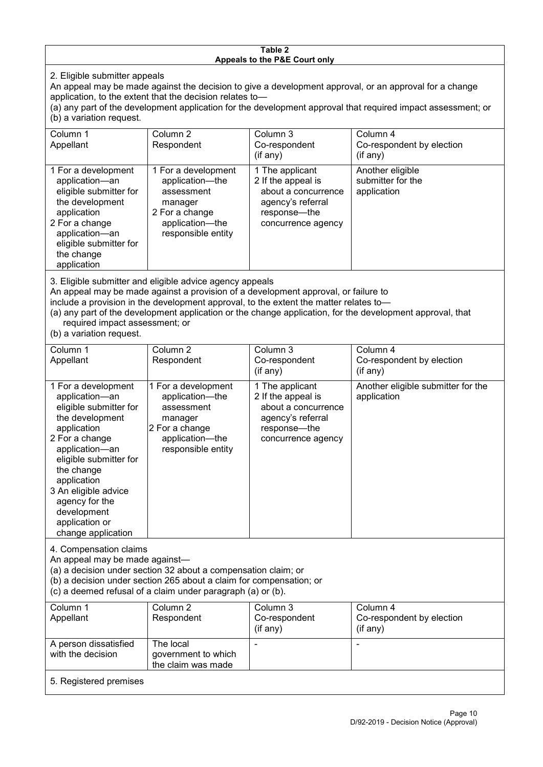#### **Table 2 Appeals to the P&E Court only**

2. Eligible submitter appeals

An appeal may be made against the decision to give a development approval, or an approval for a change application, to the extent that the decision relates to—

(a) any part of the development application for the development approval that required impact assessment; or (b) a variation request.

| Column 1                                                                                                                                                                                                                          | Column 2                                                                                                                   | Column 3                                                                                                                  | Column 4                                             |
|-----------------------------------------------------------------------------------------------------------------------------------------------------------------------------------------------------------------------------------|----------------------------------------------------------------------------------------------------------------------------|---------------------------------------------------------------------------------------------------------------------------|------------------------------------------------------|
| Appellant                                                                                                                                                                                                                         | Respondent                                                                                                                 | Co-respondent                                                                                                             | Co-respondent by election                            |
|                                                                                                                                                                                                                                   |                                                                                                                            | (if any)                                                                                                                  | (if any)                                             |
| 1 For a development<br>application-an<br>eligible submitter for<br>the development<br>application<br>2 For a change<br>application-an<br>eligible submitter for<br>the change<br>application                                      | 1 For a development<br>application-the<br>assessment<br>manager<br>2 For a change<br>application-the<br>responsible entity | 1 The applicant<br>2 If the appeal is<br>about a concurrence<br>agency's referral<br>response---the<br>concurrence agency | Another eligible<br>submitter for the<br>application |
| $\mathsf{A}$ . Figure 1. The contract of the contract of the contract of the contract of the contract of the contract of the contract of the contract of the contract of the contract of the contract of the contract of the cont |                                                                                                                            |                                                                                                                           |                                                      |

3. Eligible submitter and eligible advice agency appeals

An appeal may be made against a provision of a development approval, or failure to

include a provision in the development approval, to the extent the matter relates to—

(a) any part of the development application or the change application, for the development approval, that required impact assessment; or

(b) a variation request.

| Column 1<br>Appellant                                                                                                                                                                                                                                                                         | Column <sub>2</sub><br>Respondent                                                                                          | Column 3<br>Co-respondent                                                                                               | Column 4<br>Co-respondent by election             |
|-----------------------------------------------------------------------------------------------------------------------------------------------------------------------------------------------------------------------------------------------------------------------------------------------|----------------------------------------------------------------------------------------------------------------------------|-------------------------------------------------------------------------------------------------------------------------|---------------------------------------------------|
|                                                                                                                                                                                                                                                                                               |                                                                                                                            | (if any)                                                                                                                | (if any)                                          |
| 1 For a development<br>application-an<br>eligible submitter for<br>the development<br>application<br>2 For a change<br>application-an<br>eligible submitter for<br>the change<br>application<br>3 An eligible advice<br>agency for the<br>development<br>application or<br>change application | 1 For a development<br>application-the<br>assessment<br>manager<br>2 For a change<br>application-the<br>responsible entity | 1 The applicant<br>2 If the appeal is<br>about a concurrence<br>agency's referral<br>response—the<br>concurrence agency | Another eligible submitter for the<br>application |
| 4. Compensation claims<br>An appeal may be made against-<br>(a) a decision under section 32 about a compensation claim; or<br>(b) a decision under section 265 about a claim for compensation; or<br>(c) a deemed refusal of a claim under paragraph (a) or (b).                              |                                                                                                                            |                                                                                                                         |                                                   |
| Column 1<br>Appellant                                                                                                                                                                                                                                                                         | Column 2<br>Respondent                                                                                                     | Column 3<br>Co-respondent<br>(if any)                                                                                   | Column 4<br>Co-respondent by election<br>(if any) |
| A person dissatisfied<br>with the decision                                                                                                                                                                                                                                                    | The local<br>government to which<br>the claim was made                                                                     |                                                                                                                         |                                                   |
| 5. Registered premises                                                                                                                                                                                                                                                                        |                                                                                                                            |                                                                                                                         |                                                   |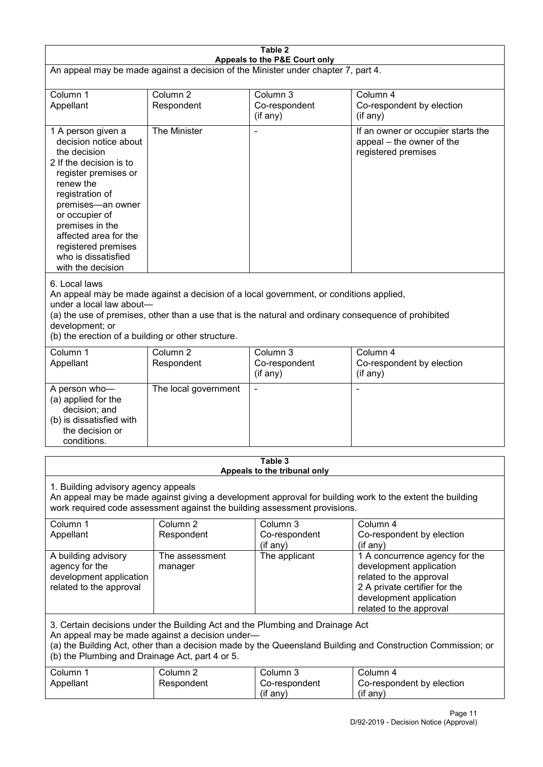| Table 2<br>Appeals to the P&E Court only                                                                                                                                                                                                                                                                             |                                   |                                         |                                                                                                                                                                             |  |
|----------------------------------------------------------------------------------------------------------------------------------------------------------------------------------------------------------------------------------------------------------------------------------------------------------------------|-----------------------------------|-----------------------------------------|-----------------------------------------------------------------------------------------------------------------------------------------------------------------------------|--|
| An appeal may be made against a decision of the Minister under chapter 7, part 4.                                                                                                                                                                                                                                    |                                   |                                         |                                                                                                                                                                             |  |
| Column 1<br>Appellant                                                                                                                                                                                                                                                                                                | Column <sub>2</sub><br>Respondent | Column 3<br>Co-respondent<br>(if any)   | Column 4<br>Co-respondent by election<br>(if any)                                                                                                                           |  |
| 1 A person given a<br>decision notice about<br>the decision<br>2 If the decision is to<br>register premises or<br>renew the<br>registration of<br>premises-an owner<br>or occupier of<br>premises in the<br>affected area for the<br>registered premises<br>who is dissatisfied<br>with the decision                 | The Minister                      |                                         | If an owner or occupier starts the<br>appeal - the owner of the<br>registered premises                                                                                      |  |
| 6. Local laws<br>An appeal may be made against a decision of a local government, or conditions applied,<br>under a local law about-<br>(a) the use of premises, other than a use that is the natural and ordinary consequence of prohibited<br>development; or<br>(b) the erection of a building or other structure. |                                   |                                         |                                                                                                                                                                             |  |
| Column 1<br>Appellant                                                                                                                                                                                                                                                                                                | Column <sub>2</sub><br>Respondent | Column 3<br>Co-respondent<br>(if any)   | Column 4<br>Co-respondent by election<br>(if any)                                                                                                                           |  |
| A person who-<br>(a) applied for the<br>decision; and<br>(b) is dissatisfied with<br>the decision or<br>conditions.                                                                                                                                                                                                  | The local government              |                                         | ٠                                                                                                                                                                           |  |
|                                                                                                                                                                                                                                                                                                                      |                                   | Table 3<br>Appeals to the tribunal only |                                                                                                                                                                             |  |
| 1. Building advisory agency appeals<br>An appeal may be made against giving a development approval for building work to the extent the building<br>work required code assessment against the building assessment provisions.                                                                                         |                                   |                                         |                                                                                                                                                                             |  |
| Column 1<br>Appellant                                                                                                                                                                                                                                                                                                | Column <sub>2</sub><br>Respondent | Column 3<br>Co-respondent<br>(if any)   | Column 4<br>Co-respondent by election<br>(if any)                                                                                                                           |  |
| A building advisory<br>agency for the<br>development application<br>related to the approval                                                                                                                                                                                                                          | The assessment<br>manager         | The applicant                           | 1 A concurrence agency for the<br>development application<br>related to the approval<br>2 A private certifier for the<br>development application<br>related to the approval |  |
| 3. Certain decisions under the Building Act and the Plumbing and Drainage Act<br>An appeal may be made against a decision under-<br>(a) the Building Act, other than a decision made by the Queensland Building and Construction Commission; or<br>(b) the Plumbing and Drainage Act, part 4 or 5.                   |                                   |                                         |                                                                                                                                                                             |  |
| Column 1<br>Appellant                                                                                                                                                                                                                                                                                                | Column <sub>2</sub><br>Respondent | Column 3<br>Co-respondent<br>(if any)   | Column 4<br>Co-respondent by election<br>(if any)                                                                                                                           |  |